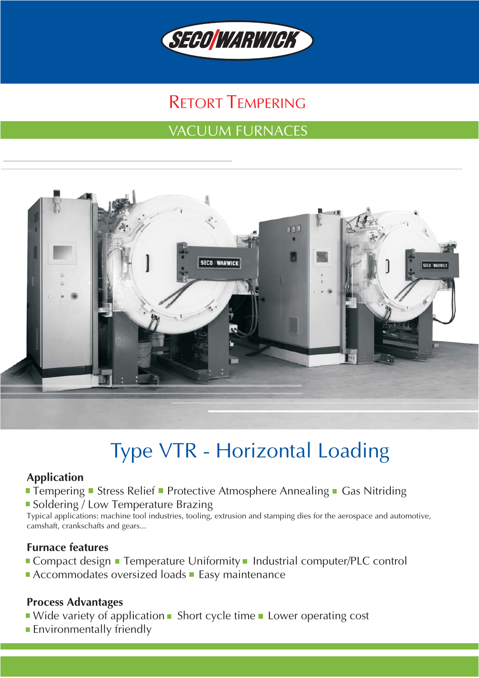

## RETORT TEMPERING

## VACUUM FURNACES



# Type VTR − Horizontal Loading

#### **Application**

**Tempering Stress Relief Protective Atmosphere Annealing Gas Nitriding** 

■ Soldering / Low Temperature Brazing

Typical applications: machine tool industries, tooling, extrusion and stamping dies for the aerospace and automotive, camshaft, crankschafts and gears...

#### **Furnace features**

- **Compact design Temperature Uniformity Industrial computer/PLC control**
- Accommodates oversized loads **Easy maintenance**

#### **Process Advantages**

- $\blacksquare$  Wide variety of application  $\blacksquare$  Short cycle time  $\blacksquare$  Lower operating cost
- **Environmentally friendly**